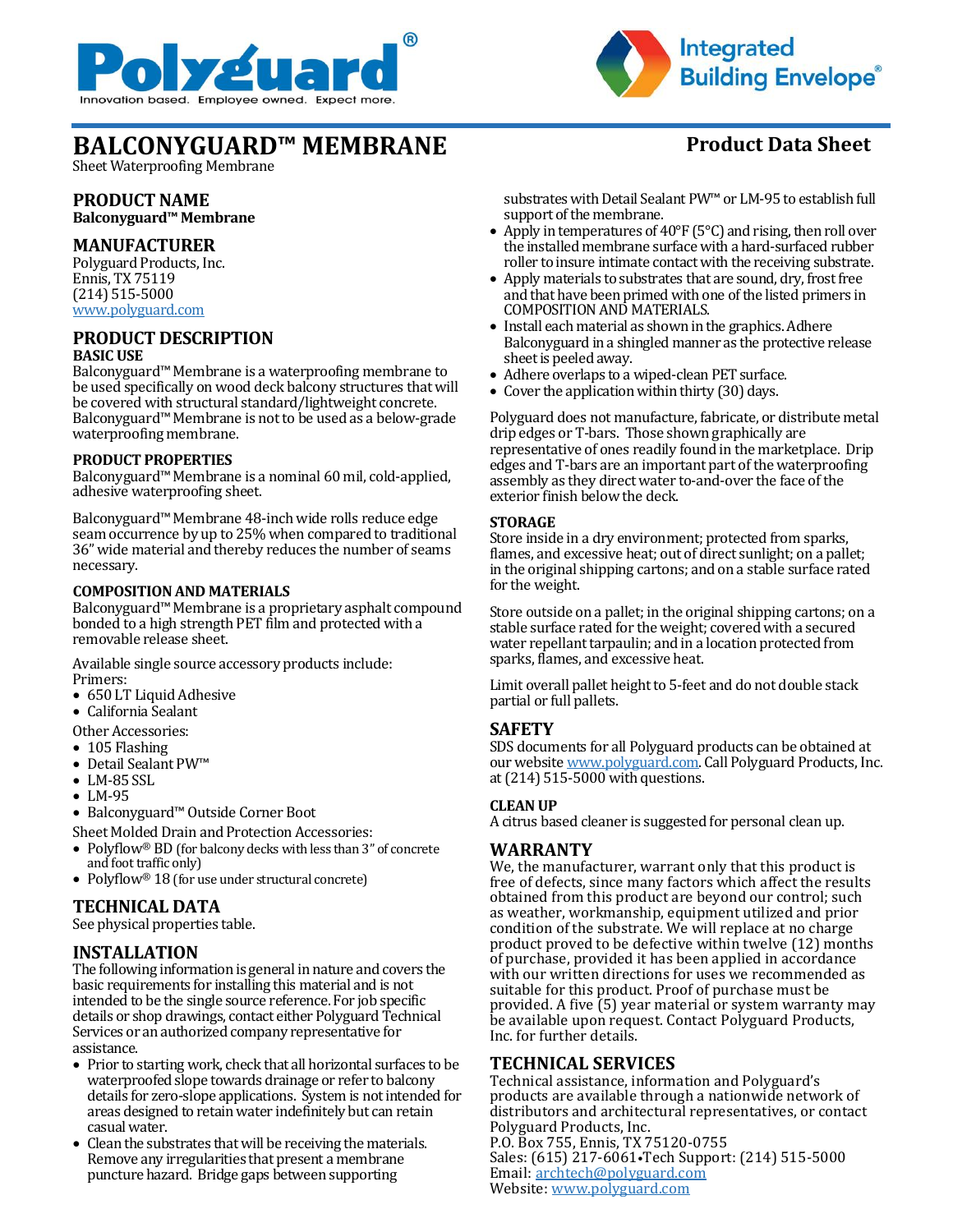



# **BALCONYGUARD™ MEMBRANE Product Data Sheet**

Sheet Waterproofing Membrane

#### **PRODUCT NAME Balconyguard™ Membrane**

# **MANUFACTURER**

Polyguard Products, Inc. Ennis, TX 75119 (214) 515-5000 [www.polyguard.com](http://www.polyguard.com/)

#### **PRODUCT DESCRIPTION BASIC USE**

Balconyguard™ Membrane is a waterproofing membrane to be used specifically on wood deck balcony structures that will be covered with structural standard/lightweight concrete. Balconyguard™ Membrane is not to be used as a below-grade waterproofing membrane.

#### **PRODUCT PROPERTIES**

Balconyguard™ Membrane is a nominal 60 mil, cold-applied, adhesive waterproofing sheet.

Balconyguard™ Membrane 48-inch wide rolls reduce edge seam occurrence by up to 25% when compared to traditional 36" wide material and thereby reduces the number of seams necessary.

#### **COMPOSITION AND MATERIALS**

Balconyguard™ Membrane is a proprietary asphalt compound bonded to a high strength PET film and protected with a removable release sheet.

Available single source accessory products include: Primers:

- 650 LT Liquid Adhesive
- California Sealant

Other Accessories:

- 105 Flashing
- Detail Sealant PW™
- LM-85 SSL
- LM-95
- Balconyguard™ Outside Corner Boot

Sheet Molded Drain and Protection Accessories:

- Polyflow® BD (for balcony decks with less than 3" of concrete and foot traffic only)
- Polyflow<sup>®</sup> 18 (for use under structural concrete)

# **TECHNICAL DATA**

See physical properties table.

# **INSTALLATION**

The following information is general in nature and covers the basic requirements for installing this material and is not intended to be the single source reference. For job specific details or shop drawings, contact either Polyguard Technical Services or an authorized company representative for assistance.

- Prior to starting work, check that all horizontal surfaces to be waterproofed slope towards drainage or refer to balcony details for zero-slope applications. System is not intended for areas designed to retain water indefinitely but can retain casual water.
- Clean the substrates that will be receiving the materials. Remove any irregularities that present a membrane puncture hazard. Bridge gaps between supporting

substrates with Detail Sealant PW™or LM-95 to establish full support of the membrane.

- Apply in temperatures of 40°F (5°C) and rising, then roll over the installed membrane surface with a hard-surfaced rubber roller to insure intimate contact with the receiving substrate.
- Apply materials to substrates that are sound, dry, frost free and that have been primed with one of the listed primers in COMPOSITION AND MATERIALS.
- Install each material as shown in the graphics. Adhere Balconyguard in a shingled manner as the protective release sheet is peeled away.
- Adhere overlaps to a wiped-clean PET surface.
- Cover the application within thirty (30) days.

Polyguard does not manufacture, fabricate, or distribute metal drip edges or T-bars. Those shown graphically are representative of ones readily found in the marketplace. Drip edges and T-bars are an important part of the waterproofing assembly as they direct water to-and-over the face of the exterior finish below the deck.

#### **STORAGE**

Store inside in a dry environment; protected from sparks, flames, and excessive heat; out of direct sunlight; on a pallet; in the original shipping cartons; and on a stable surface rated for the weight.

Store outside on a pallet; in the original shipping cartons; on a stable surface rated for the weight; covered with a secured water repellant tarpaulin; and in a location protected from sparks, flames, and excessive heat.

Limit overall pallet height to 5-feet and do not double stack partial or full pallets.

# **SAFETY**

SDS documents for all Polyguard products can be obtained at our websit[e www.polyguard.com.](http://www.polyguard.com/) Call Polyguard Products, Inc. at (214) 515-5000 with questions.

### **CLEAN UP**

A citrus based cleaner is suggested for personal clean up.

# **WARRANTY**

We, the manufacturer, warrant only that this product is free of defects, since many factors which affect the results obtained from this product are beyond our control; such as weather, workmanship, equipment utilized and prior condition of the substrate. We will replace at no charge product proved to be defective within twelve (12) months of purchase, provided it has been applied in accordance with our written directions for uses we recommended as suitable for this product. Proof of purchase must be provided. A five (5) year material or system warranty may be available upon request. Contact Polyguard Products, Inc. for further details.

# **TECHNICAL SERVICES**

Technical assistance, information and Polyguard's products are available through a nationwide network of distributors and architectural representatives, or contact Polyguard Products, Inc. P.O. Box 755, Ennis, TX 75120-0755 Sales: (615) 217-6061•Tech Support: (214) 515-5000 Email: [archtech@polyguard.com](mailto:archtech@polyguard.com) Website: [www.polyguard.com](http://www.polyguard.com/)